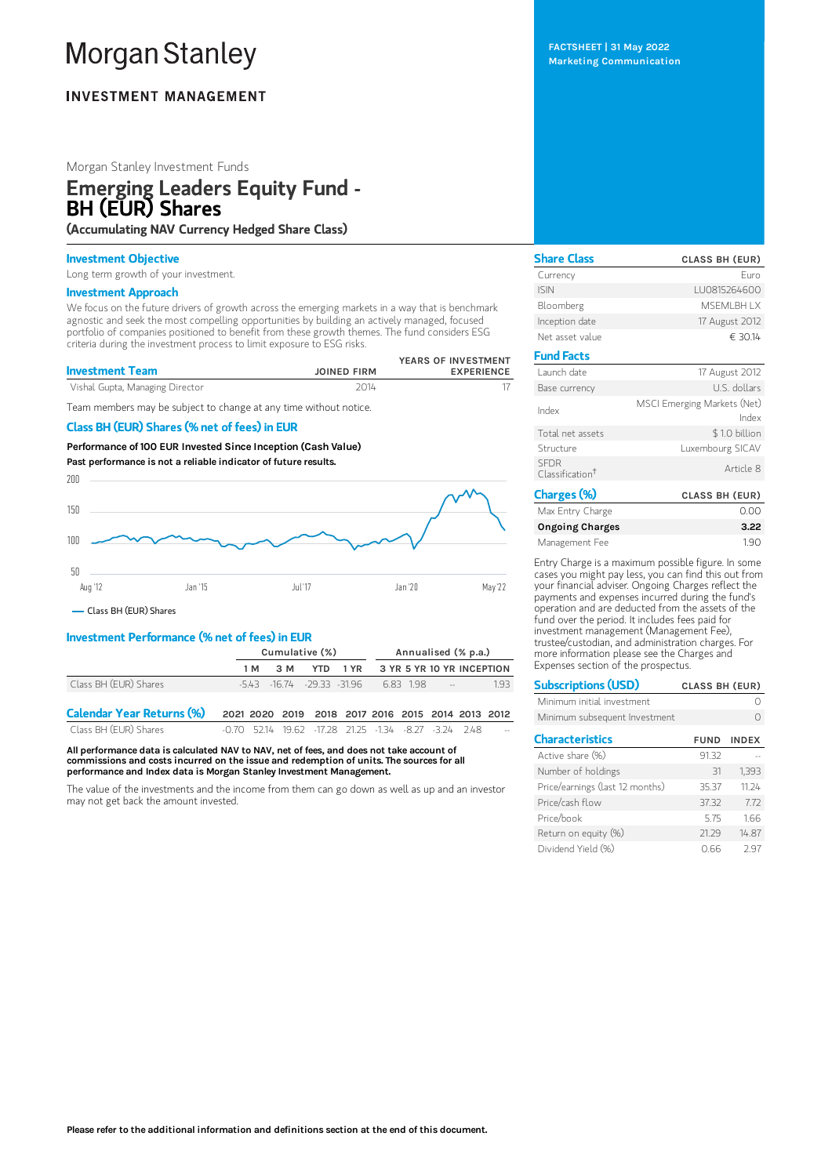# **Morgan Stanley**

# **INVESTMENT MANAGEMENT**

# Morgan Stanley Investment Funds

# Emerging Leaders Equity Fund - BH (EUR) Shares

(Accumulating NAV Currency Hedged Share Class)

## Investment Objective

Long term growth of your investment.

## Investment Approach

We focus on the future drivers of growth across the emerging markets in a way that is benchmark agnostic and seek the most compelling opportunities by building an actively managed, focused portfolio of companies positioned to benefit from these growth themes. The fund considers ESG criteria during the investment process to limit exposure to ESG risks.

| <b>Investment Team</b>          | <b>JOINED FIRM</b> | YEARS OF INVESTMENT<br><b>EXPERIENCE</b> |
|---------------------------------|--------------------|------------------------------------------|
| Vishal Gupta, Managing Director | 2014               |                                          |

Team members may be subject to change at any time without notice.

# Class BH (EUR) Shares (% net of fees) in EUR

Performance of 100 EUR Invested Since Inception (Cash Value) Past performance is not a reliable indicator of future results.



Class BH (EUR) Shares

# Investment Performance (% net of fees) in EUR

|                       |     | Cumulative (%)             |  |  |  | Annualised (% p.a.) |        |                                    |  |
|-----------------------|-----|----------------------------|--|--|--|---------------------|--------|------------------------------------|--|
|                       | 1 M | 3 M                        |  |  |  |                     |        | YTD 1 YR 3 YR 5 YR 10 YR INCEPTION |  |
| Class BH (EUR) Shares |     | -5.43 -16.74 -29.33 -31.96 |  |  |  | 683 198             | المسار | 193                                |  |
|                       |     |                            |  |  |  |                     |        |                                    |  |

| <b>Calendar Year Returns (%)</b> |  | 2021 2020 2019 2018 2017 2016 2015 2014 2013 2012     |  |  |     |
|----------------------------------|--|-------------------------------------------------------|--|--|-----|
| Class BH (EUR) Shares            |  | -0.70 52.14 19.62 -17.28 21.25 -1.34 -8.27 -3.24 2.48 |  |  | $-$ |

All performance data is calculated NAV to NAV, net of fees, and does not take account of commissions and costs incurred on the issue and redemption of units. The sources for all performance and Index data is Morgan Stanley Investment Management.

The value of the investments and the income from them can go down as well as up and an investor may not get back the amount invested.

FACTSHEET | 31 May 2022 Marketing Communication

| <b>CLASS BH (EUR)</b>                |
|--------------------------------------|
| Furo                                 |
| LU0815264600                         |
| <b>MSFMI BH I X</b>                  |
| 17 August 2012                       |
| € 30.14                              |
|                                      |
| 17 August 2012                       |
| U.S. dollars                         |
| MSCI Emerging Markets (Net)<br>Index |
| \$1.0 billion                        |
| Luxembourg SICAV                     |
| Article 8                            |
| <b>CLASS BH (EUR)</b>                |
|                                      |

| Max Entry Charge       | 0.00 |
|------------------------|------|
| <b>Ongoing Charges</b> | 3.22 |
| Management Fee         | 190  |

Entry Charge is a maximum possible figure. In some cases you might pay less, you can find this out from your financial adviser. Ongoing Charges reflect the payments and expenses incurred during the fund's operation and are deducted from the assets of the fund over the period. It includes fees paid for investment management (Management Fee), trustee/custodian, and administration charges. For more information please see the Charges and Expenses section of the prospectus.

| <b>Subscriptions (USD)</b>      | <b>CLASS BH (EUR)</b> |              |
|---------------------------------|-----------------------|--------------|
| Minimum initial investment      |                       |              |
| Minimum subsequent Investment   |                       |              |
| <b>Characteristics</b>          | <b>FUND</b>           | <b>INDEX</b> |
| Active share (%)                | 91.32                 |              |
| Number of holdings              | 31                    | 1.393        |
| Price/earnings (last 12 months) | 35.37                 | 11 24        |
| Price/cash flow                 | 37.32                 | 772          |
| Price/book                      | 575                   | 1.66         |
| Return on equity (%)            | 21.29                 | 14.87        |
| Dividend Yield (%)              | N 66                  | 297          |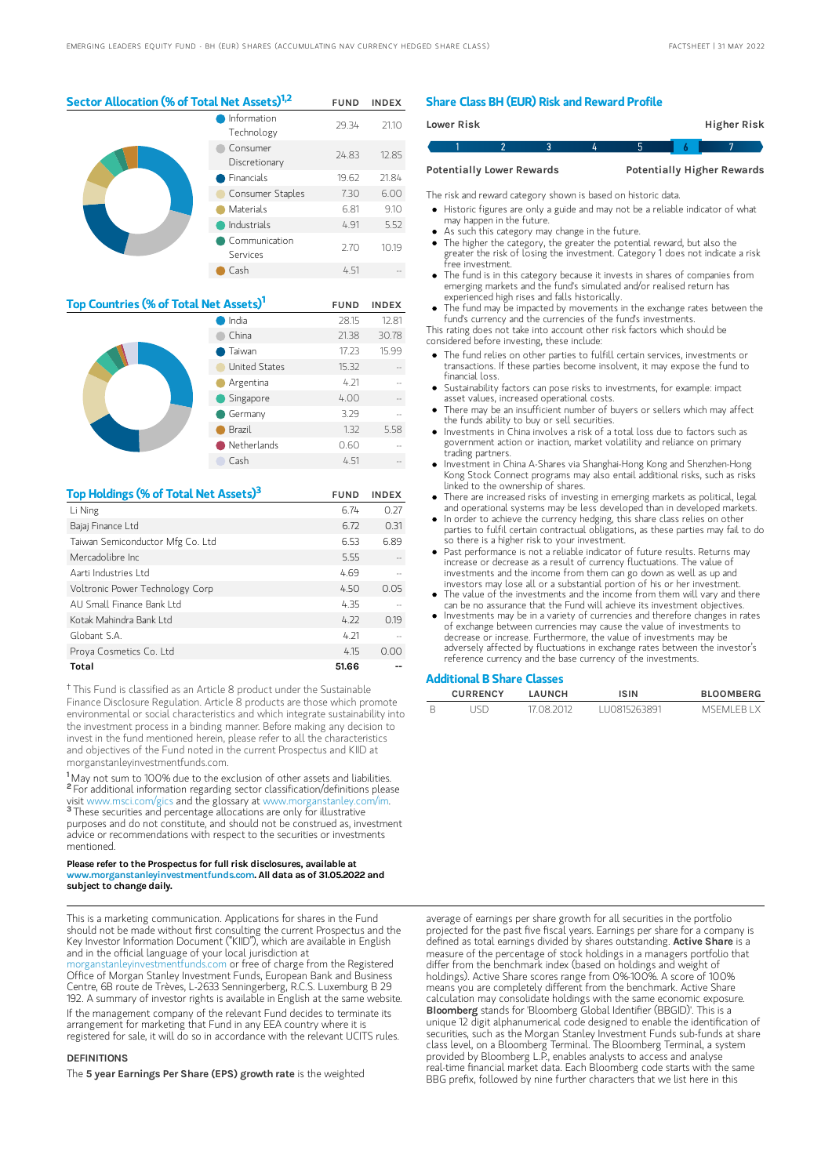Sector Allocation (% of Total Net Assets)<sup>1,2</sup> FUND INDEX

|  | Information<br>Technology | 29.34 | 21.10 |
|--|---------------------------|-------|-------|
|  | Consumer<br>Discretionary | 24.83 | 12.85 |
|  | Financials                | 19.62 | 21.84 |
|  | Consumer Staples          | 7.30  | 6.00  |
|  | Materials                 | 6.81  | 9.10  |
|  | Industrials               | 4.91  | 5.52  |
|  | Communication<br>Services | 2.70  | 10.19 |
|  | Cash                      | 4.51  |       |

| Top Countries (% of Total Net Assets) <sup>1</sup> | <b>FUND</b>   | <b>INDEX</b> |       |
|----------------------------------------------------|---------------|--------------|-------|
|                                                    | India         | 28.15        | 12.81 |
|                                                    | China         | 21.38        | 30.78 |
|                                                    | Taiwan        | 17.23        | 15.99 |
|                                                    | United States | 15.32        |       |
|                                                    | Argentina     | 4.21         |       |
|                                                    | Singapore     | 4.00         |       |
|                                                    | Germany       | 3.29         |       |
|                                                    | Brazil        | 1.32         | 5.58  |
|                                                    | Netherlands   | 0.60         |       |
|                                                    | Cash          | 4.51         |       |

| Top Holdings (% of Total Net Assets) <sup>3</sup> | <b>FUND</b> | <b>INDEX</b> |
|---------------------------------------------------|-------------|--------------|
| Li Ning                                           | 6.74        | 0.27         |
| Bajaj Finance Ltd                                 | 6.72        | 0.31         |
| Taiwan Semiconductor Mfg Co. Ltd                  | 6.53        | 6.89         |
| Mercadolibre Inc.                                 | 5.55        |              |
| Aarti Industries Ltd                              | 4.69        |              |
| Voltronic Power Technology Corp                   | 4.50        | 0.05         |
| ALL Small Finance Bank Ltd                        | 4.35        |              |
| Kotak Mahindra Bank I td                          | 4.22        | 0.19         |
| Globant S.A.                                      | 4.21        |              |
| Proya Cosmetics Co. Ltd                           | 4.15        | n nn         |
| Total                                             | 51.66       |              |

<sup>†</sup> This Fund is classified as an Article 8 product under the Sustainable Finance Disclosure Regulation. Article 8 products are those which promote environmental or social characteristics and which integrate sustainability into the investment process in a binding manner. Before making any decision to invest in the fund mentioned herein, please refer to all the characteristics and objectives of the Fund noted in the current Prospectus and KIID at morganstanleyinvestmentfunds.com.

<sup>1</sup>May not sum to 100% due to the exclusion of other assets and liabilities. <sup>2</sup> For additional information regarding sector classification/definitions please visit www.msci.com/gics and the glossary at www.morganstanley.com/im. <sup>3</sup> These securities and percentage allocations are only for illustrative purposes and do not constitute, and should not be construed as, investment

advice or recommendations with respect to the securities or investments mentioned. Please refer to the Prospectus for full risk disclosures, available at

#### www.morganstanleyinvestmentfunds.com. All data as of 31.05.2022 and subject to change daily.

This is a marketing communication. Applications for shares in the Fund should not be made without first consulting the current Prospectus and the Key Investor Information Document ("KIID"), which are available in English and in the official language of your local jurisdiction at

morganization or free of charge from the Registered Office of Morgan Stanley Investment Funds, European Bank and Business Centre, 6B route de Trèves, L-2633 Senningerberg, R.C.S. Luxemburg B 29 192. A summary of investor rights is available in English at the same website. If the management company of the relevant Fund decides to terminate its arrangement for marketing that Fund in any EEA country where it is registered for sale, it will do so in accordance with the relevant UCITS rules.

#### **DEFINITIONS**

The 5 year Earnings Per Share (EPS) growth rate is the weighted

#### Share Class BH (EUR) Risk and Reward Profile

| Lower Risk                       |  |  | Higher Risk                       |  |
|----------------------------------|--|--|-----------------------------------|--|
|                                  |  |  |                                   |  |
| <b>Potentially Lower Rewards</b> |  |  | <b>Potentially Higher Rewards</b> |  |

The risk and reward category shown is based on historic data.

- Historic figures are only a guide and may not be a reliable indicator of what may happen in the future.
- As such this category may change in the future.
- The higher the category, the greater the potential reward, but also the greater the risk of losing the investment. Category 1 does not indicate a risk free investment.
- The fund is in this category because it invests in shares of companies from emerging markets and the fund's simulated and/or realised return has experienced high rises and falls historically.
- The fund may be impacted by movements in the exchange rates between the fund's currency and the currencies of the fund's investments.

This rating does not take into account other risk factors which should be considered before investing, these include:

- The fund relies on other parties to fulfill certain services, investments or transactions. If these parties become insolvent, it may expose the fund to financial loss.
- Sustainability factors can pose risks to investments, for example: impact asset values, increased operational costs.
- There may be an insufficient number of buyers or sellers which may affect the funds ability to buy or sell securities.
- Investments in China involves a risk of a total loss due to factors such as government action or inaction, market volatility and reliance on primary trading partners.
- Investment in China A-Shares via Shanghai-Hong Kong and Shenzhen-Hong Kong Stock Connect programs may also entail additional risks, such as risks linked to the ownership of shares.
- There are increased risks of investing in emerging markets as political, legal and operational systems may be less developed than in developed markets.
- In order to achieve the currency hedging, this share class relies on other parties to fulfil certain contractual obligations, as these parties may fail to do so there is a higher risk to your investment.
- Past performance is not a reliable indicator of future results. Returns may increase or decrease as a result of currency fluctuations. The value of investments and the income from them can go down as well as up and investors may lose all or a substantial portion of his or her investment.
- The value of the investments and the income from them will vary and there can be no assurance that the Fund will achieve its investment objectives.
- Investments may be in a variety of currencies and therefore changes in rates of exchange between currencies may cause the value of investments to decrease or increase. Furthermore, the value of investments may be adversely affected by fluctuations in exchange rates between the investor's reference currency and the base currency of the investments.

#### Additional B Share Classes

| <b>CURRENCY</b> | LAUNCH     | ISIN          | <b>BLOOMBERG</b> |
|-----------------|------------|---------------|------------------|
|                 | 17 08 2012 | 1110815263891 | MSEMLER LX       |

average of earnings per share growth for all securities in the portfolio projected for the past five fiscal years. Earnings per share for a company is defined as total earnings divided by shares outstanding. Active Share is a measure of the percentage of stock holdings in a managers portfolio that differ from the benchmark index (based on holdings and weight of holdings). Active Share scores range from 0%-100%. A score of 100% means you are completely different from the benchmark. Active Share calculation may consolidate holdings with the same economic exposure.<br>**Bloomberg** stands for 'Bloomberg Global Identifier (BBGID)'. This is a unique 12 digit alphanumerical code designed to enable the identification of securities, such as the Morgan Stanley Investment Funds sub-funds at share class level, on a Bloomberg Terminal. The Bloomberg Terminal, a system provided by Bloomberg L.P., enables analysts to access and analyse real-time financial market data. Each Bloomberg code starts with the same BBG prefix, followed by nine further characters that we list here in this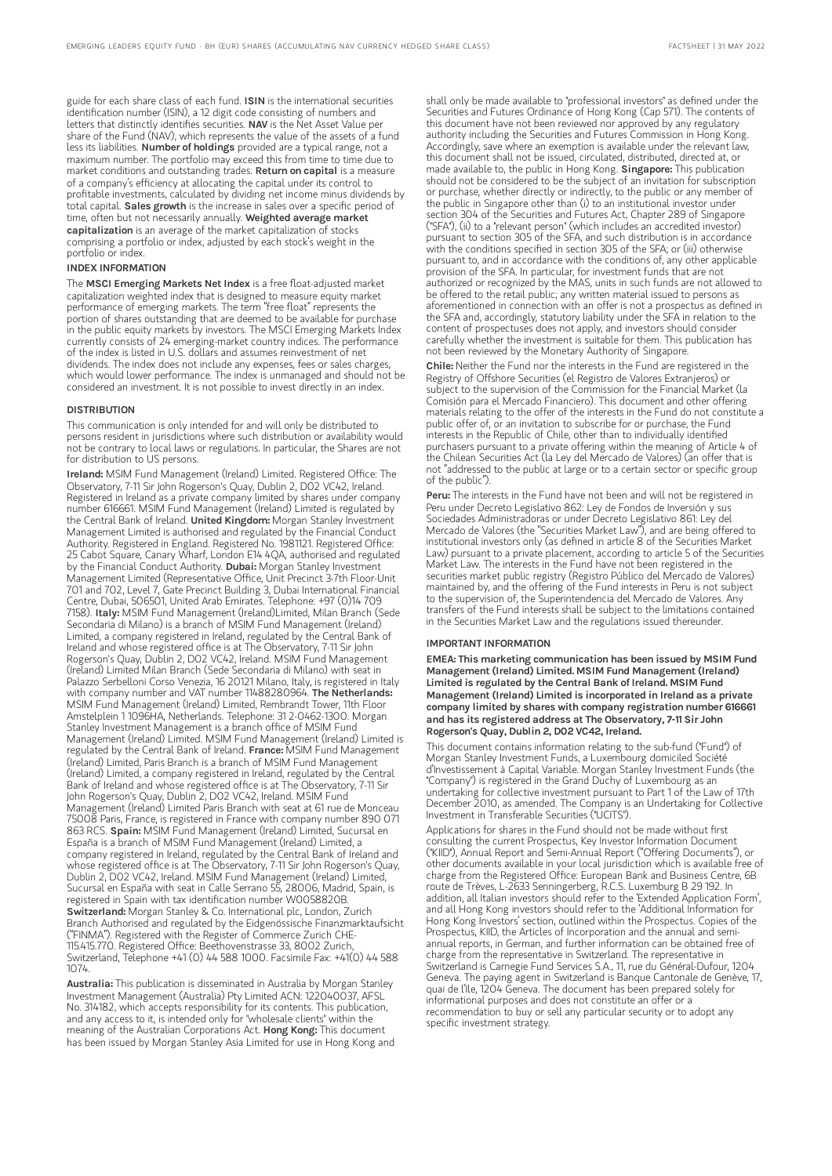guide for each share class of each fund. ISIN is the international securities identification number (ISIN), a 12 digit code consisting of numbers and letters that distinctly identifies securities. NAV is the Net Asset Value per share of the Fund (NAV), which represents the value of the assets of a fund less its liabilities. Number of holdings provided are a typical range, not a maximum number. The portfolio may exceed this from time to time due to market conditions and outstanding trades. Return on capital is a measure of a company's efficiency at allocating the capital under its control to profitable investments, calculated by dividing net income minus dividends by total capital. Sales growth is the increase in sales over a specific period of time, often but not necessarily annually. Weighted average market capitalization is an average of the market capitalization of stocks comprising a portfolio or index, adjusted by each stock's weight in the portfolio or index.

### INDEX INFORMATION

The MSCI Emerging Markets Net Index is a free float-adjusted market capitalization weighted index that is designed to measure equity market performance of emerging markets. The term "free float" represents the portion of shares outstanding that are deemed to be available for purchase in the public equity markets by investors. The MSCI Emerging Markets Index currently consists of 24 emerging-market country indices. The performance of the index is listed in U.S. dollars and assumes reinvestment of net dividends. The index does not include any expenses, fees or sales charges, which would lower performance. The index is unmanaged and should not be considered an investment. It is not possible to invest directly in an index.

#### **DISTRIBUTION**

This communication is only intended for and will only be distributed to persons resident in jurisdictions where such distribution or availability would not be contrary to local laws or regulations. In particular, the Shares are not for distribution to US persons.

Ireland: MSIM Fund Management (Ireland) Limited. Registered Office: The Observatory, 7-11 Sir John Rogerson's Quay, Dublin 2, D02 VC42, Ireland. Registered in Ireland as a private company limited by shares under company number 616661. MSIM Fund Management (Ireland) Limited is regulated by the Central Bank of Ireland. United Kingdom: Morgan Stanley Investment Management Limited is authorised and regulated by the Financial Conduct Authority. Registered in England. Registered No. 1981121. Registered Office: 25 Cabot Square, Canary Wharf, London E14 4QA, authorised and regulated by the Financial Conduct Authority. Dubai: Morgan Stanley Investment Management Limited (Representative Office, Unit Precinct 3-7th Floor-Unit 701 and 702, Level 7, Gate Precinct Building 3, Dubai International Financial Centre, Dubai, 506501, United Arab Emirates. Telephone: +97 (0)14 709 7158). Italy: MSIM Fund Management (Ireland)Limited, Milan Branch (Sede Secondaria di Milano) is a branch of MSIM Fund Management (Ireland) Limited, a company registered in Ireland, regulated by the Central Bank of Ireland and whose registered office is at The Observatory, 7-11 Sir John Rogerson's Quay, Dublin 2, D02 VC42, Ireland. MSIM Fund Management (Ireland) Limited Milan Branch (Sede Secondaria di Milano) with seat in Palazzo Serbelloni Corso Venezia, 16 20121 Milano, Italy, is registered in Italy with company number and VAT number 11488280964. The Netherlands: MSIM Fund Management (Ireland) Limited, Rembrandt Tower, 11th Floor Amstelplein 1 1096HA, Netherlands. Telephone: 31 2-0462-1300. Morgan Stanley Investment Management is a branch office of MSIM Fund Management (Ireland) Limited. MSIM Fund Management (Ireland) Limited is regulated by the Central Bank of Ireland. France: MSIM Fund Management (Ireland) Limited, Paris Branch is a branch of MSIM Fund Management (Ireland) Limited, a company registered in Ireland, regulated by the Central Bank of Ireland and whose registered office is at The Observatory, 7-11 Sir John Rogerson's Quay, Dublin 2, D02 VC42, Ireland. MSIM Fund Management (Ireland) Limited Paris Branch with seat at 61 rue de Monceau 75008 Paris, France, is registered in France with company number 890 071 863 RCS. Spain: MSIM Fund Management (Ireland) Limited, Sucursal en España is a branch of MSIM Fund Management (Ireland) Limited, a company registered in Ireland, regulated by the Central Bank of Ireland and whose registered office is at The Observatory, 7-11 Sir John Rogerson's Quay, Dublin 2, D02 VC42, Ireland. MSIM Fund Management (Ireland) Limited, Sucursal en España with seat in Calle Serrano 55, 28006, Madrid, Spain, is registered in Spain with tax identification number W0058820B. Switzerland: Morgan Stanley & Co. International plc, London, Zurich Branch Authorised and regulated by the Eidgenössische Finanzmarktaufsicht ("FINMA"). Registered with the Register of Commerce Zurich CHE-115.415.770. Registered Office: Beethovenstrasse 33, 8002 Zurich, Switzerland, Telephone +41 (0) 44 588 1000. Facsimile Fax: +41(0) 44 588 1074.

Australia: This publication is disseminated in Australia by Morgan Stanley Investment Management (Australia) Pty Limited ACN: 122040037, AFSL No. 314182, which accepts responsibility for its contents. This publication, and any access to it, is intended only for "wholesale clients" within the<br>meaning of the Australian Corporations Act. **Hong Kong:** This document has been issued by Morgan Stanley Asia Limited for use in Hong Kong and

shall only be made available to "professional investors" as defined under the Securities and Futures Ordinance of Hong Kong (Cap 571). The contents of this document have not been reviewed nor approved by any regulatory authority including the Securities and Futures Commission in Hong Kong. Accordingly, save where an exemption is available under the relevant law, this document shall not be issued, circulated, distributed, directed at, or made available to, the public in Hong Kong. Singapore: This publication should not be considered to be the subject of an invitation for subscription or purchase, whether directly or indirectly, to the public or any member of the public in Singapore other than (i) to an institutional investor under section 304 of the Securities and Futures Act, Chapter 289 of Singapore ("SFA"), (ii) to a "relevant person" (which includes an accredited investor) pursuant to section 305 of the SFA, and such distribution is in accordance with the conditions specified in section 305 of the SFA; or (iii) otherwise pursuant to, and in accordance with the conditions of, any other applicable provision of the SFA. In particular, for investment funds that are not authorized or recognized by the MAS, units in such funds are not allowed to be offered to the retail public; any written material issued to persons as aforementioned in connection with an offer is not a prospectus as defined in the SFA and, accordingly, statutory liability under the SFA in relation to the content of prospectuses does not apply, and investors should consider carefully whether the investment is suitable for them. This publication has not been reviewed by the Monetary Authority of Singapore.

Chile: Neither the Fund nor the interests in the Fund are registered in the Registry of Offshore Securities (el Registro de Valores Extranjeros) or subject to the supervision of the Commission for the Financial Market (la Comisión para el Mercado Financiero). This document and other offering materials relating to the offer of the interests in the Fund do not constitute a public offer of, or an invitation to subscribe for or purchase, the Fund interests in the Republic of Chile, other than to individually identified purchasers pursuant to a private offering within the meaning of Article 4 of the Chilean Securities Act (la Ley del Mercado de Valores) (an offer that is not "addressed to the public at large or to a certain sector or specific group of the public").

Peru: The interests in the Fund have not been and will not be registered in Peru under Decreto Legislativo 862: Ley de Fondos de Inversión y sus Sociedades Administradoras or under Decreto Legislativo 861: Ley del Mercado de Valores (the "Securities Market Law"), and are being offered to institutional investors only (as defined in article 8 of the Securities Market Law) pursuant to a private placement, according to article 5 of the Securities Market Law. The interests in the Fund have not been registered in the securities market public registry (Registro Público del Mercado de Valores) maintained by, and the offering of the Fund interests in Peru is not subject to the supervision of, the Superintendencia del Mercado de Valores. Any transfers of the Fund interests shall be subject to the limitations contained in the Securities Market Law and the regulations issued thereunder.

#### IMPORTANT INFORMATION

EMEA: This marketing communication has been issued by MSIM Fund Management (Ireland) Limited. MSIM Fund Management (Ireland) Limited is regulated by the Central Bank of Ireland. MSIM Fund Management (Ireland) Limited is incorporated in Ireland as a private company limited by shares with company registration number 616661 and has its registered address at The Observatory, 7-11 Sir John Rogerson's Quay, Dublin 2, D02 VC42, Ireland.

This document contains information relating to the sub-fund ("Fund") of Morgan Stanley Investment Funds, a Luxembourg domiciled Société d'Investissement à Capital Variable. Morgan Stanley Investment Funds (the "Company") is registered in the Grand Duchy of Luxembourg as an undertaking for collective investment pursuant to Part 1 of the Law of 17th December 2010, as amended. The Company is an Undertaking for Collective Investment in Transferable Securities ("UCITS").

Applications for shares in the Fund should not be made without first consulting the current Prospectus, Key Investor Information Document ("KIID"), Annual Report and Semi-Annual Report ("Offering Documents"), or other documents available in your local jurisdiction which is available free of charge from the Registered Office: European Bank and Business Centre, 6B route de Trèves, L-2633 Senningerberg, R.C.S. Luxemburg B 29 192. In addition, all Italian investors should refer to the 'Extended Application Form', and all Hong Kong investors should refer to the 'Additional Information for Hong Kong Investors' section, outlined within the Prospectus. Copies of the Prospectus, KIID, the Articles of Incorporation and the annual and semiannual reports, in German, and further information can be obtained free of charge from the representative in Switzerland. The representative in Switzerland is Carnegie Fund Services S.A., 11, rue du Général-Dufour, 1204 Geneva. The paying agent in Switzerland is Banque Cantonale de Genève, 17, quai de l'Ile, 1204 Geneva. The document has been prepared solely for informational purposes and does not constitute an offer or a recommendation to buy or sell any particular security or to adopt any specific investment strategy.